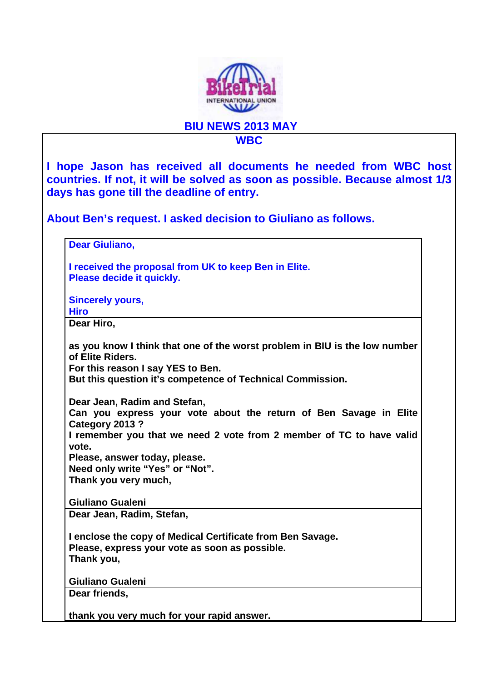

**BIU NEWS 2013 MAY** 

## **WBC**

**I hope Jason has received all documents he needed from WBC host countries. If not, it will be solved as soon as possible. Because almost 1/3 days has gone till the deadline of entry.** 

**About Ben's request. I asked decision to Giuliano as follows.** 

**Dear Giuliano,** 

**I received the proposal from UK to keep Ben in Elite. Please decide it quickly.** 

**Sincerely yours, Hiro** 

**Dear Hiro,** 

**as you know I think that one of the worst problem in BIU is the low number of Elite Riders.** 

**For this reason I say YES to Ben.** 

**But this question it's competence of Technical Commission.** 

**Dear Jean, Radim and Stefan,** 

**Can you express your vote about the return of Ben Savage in Elite Category 2013 ?** 

**I remember you that we need 2 vote from 2 member of TC to have valid vote.** 

**Please, answer today, please. Need only write "Yes" or "Not". Thank you very much,** 

**Giuliano Gualeni Dear Jean, Radim, Stefan,** 

**I enclose the copy of Medical Certificate from Ben Savage. Please, express your vote as soon as possible. Thank you,** 

**Giuliano Gualeni**

**Dear friends,** 

**thank you very much for your rapid answer.**